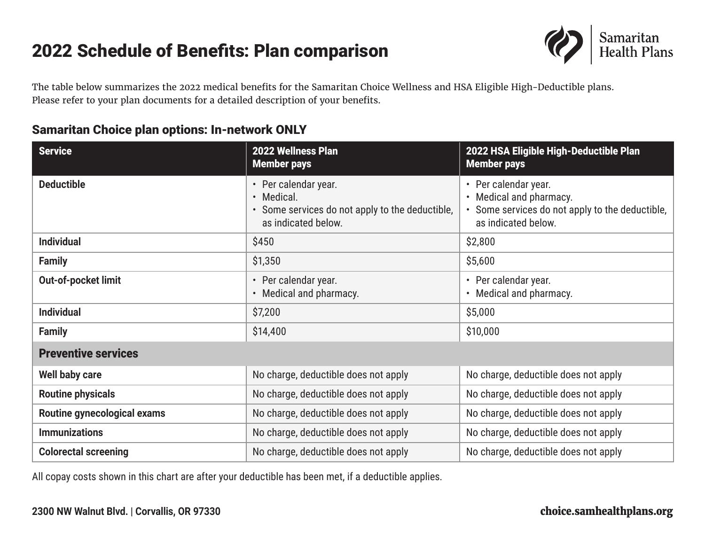## 2022 Schedule of Benefits: Plan comparison



The table below summarizes the 2022 medical benefits for the Samaritan Choice Wellness and HSA Eligible High-Deductible plans. Please refer to your plan documents for a detailed description of your benefits.

## Samaritan Choice plan options: In-network ONLY

| <b>Service</b>              | 2022 Wellness Plan<br><b>Member pays</b>                                                                     | 2022 HSA Eligible High-Deductible Plan<br><b>Member pays</b>                                                              |
|-----------------------------|--------------------------------------------------------------------------------------------------------------|---------------------------------------------------------------------------------------------------------------------------|
| <b>Deductible</b>           | • Per calendar year.<br>• Medical.<br>• Some services do not apply to the deductible,<br>as indicated below. | • Per calendar year.<br>• Medical and pharmacy.<br>• Some services do not apply to the deductible,<br>as indicated below. |
| <b>Individual</b>           | \$450                                                                                                        | \$2,800                                                                                                                   |
| <b>Family</b>               | \$1,350                                                                                                      | \$5,600                                                                                                                   |
| Out-of-pocket limit         | • Per calendar year.<br>• Medical and pharmacy.                                                              | • Per calendar year.<br>• Medical and pharmacy.                                                                           |
| <b>Individual</b>           | \$7,200                                                                                                      | \$5,000                                                                                                                   |
| <b>Family</b>               | \$14,400                                                                                                     | \$10,000                                                                                                                  |
| <b>Preventive services</b>  |                                                                                                              |                                                                                                                           |
| <b>Well baby care</b>       | No charge, deductible does not apply                                                                         | No charge, deductible does not apply                                                                                      |
| <b>Routine physicals</b>    | No charge, deductible does not apply                                                                         | No charge, deductible does not apply                                                                                      |
| Routine gynecological exams | No charge, deductible does not apply                                                                         | No charge, deductible does not apply                                                                                      |
| <b>Immunizations</b>        | No charge, deductible does not apply                                                                         | No charge, deductible does not apply                                                                                      |
| <b>Colorectal screening</b> | No charge, deductible does not apply                                                                         | No charge, deductible does not apply                                                                                      |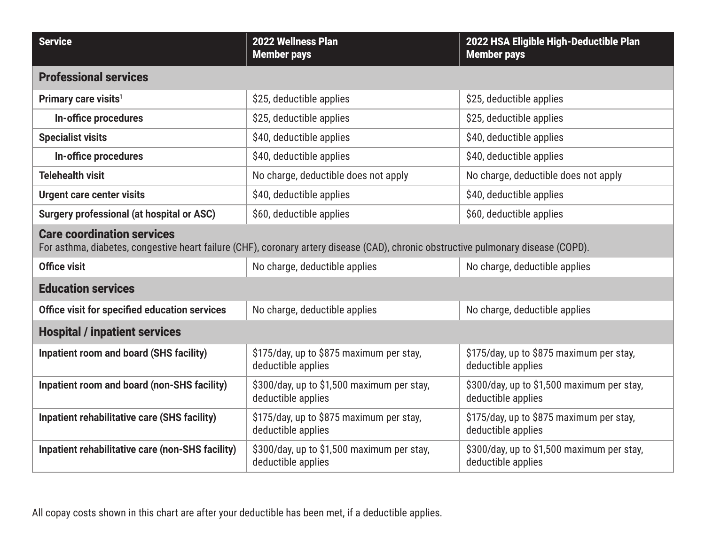| <b>Service</b>                                                                                                                                                          | 2022 Wellness Plan<br><b>Member pays</b>                         | 2022 HSA Eligible High-Deductible Plan<br><b>Member pays</b>     |
|-------------------------------------------------------------------------------------------------------------------------------------------------------------------------|------------------------------------------------------------------|------------------------------------------------------------------|
| <b>Professional services</b>                                                                                                                                            |                                                                  |                                                                  |
| Primary care visits <sup>1</sup>                                                                                                                                        | \$25, deductible applies                                         | \$25, deductible applies                                         |
| In-office procedures                                                                                                                                                    | \$25, deductible applies                                         | \$25, deductible applies                                         |
| <b>Specialist visits</b>                                                                                                                                                | \$40, deductible applies                                         | \$40, deductible applies                                         |
| In-office procedures                                                                                                                                                    | \$40, deductible applies                                         | \$40, deductible applies                                         |
| <b>Telehealth visit</b>                                                                                                                                                 | No charge, deductible does not apply                             | No charge, deductible does not apply                             |
| <b>Urgent care center visits</b>                                                                                                                                        | \$40, deductible applies                                         | \$40, deductible applies                                         |
| <b>Surgery professional (at hospital or ASC)</b>                                                                                                                        | \$60, deductible applies                                         | \$60, deductible applies                                         |
| <b>Care coordination services</b><br>For asthma, diabetes, congestive heart failure (CHF), coronary artery disease (CAD), chronic obstructive pulmonary disease (COPD). |                                                                  |                                                                  |
| <b>Office visit</b>                                                                                                                                                     | No charge, deductible applies                                    | No charge, deductible applies                                    |
| <b>Education services</b>                                                                                                                                               |                                                                  |                                                                  |
| Office visit for specified education services                                                                                                                           | No charge, deductible applies                                    | No charge, deductible applies                                    |
| <b>Hospital / inpatient services</b>                                                                                                                                    |                                                                  |                                                                  |
| Inpatient room and board (SHS facility)                                                                                                                                 | \$175/day, up to \$875 maximum per stay,<br>deductible applies   | \$175/day, up to \$875 maximum per stay,<br>deductible applies   |
| Inpatient room and board (non-SHS facility)                                                                                                                             | \$300/day, up to \$1,500 maximum per stay,<br>deductible applies | \$300/day, up to \$1,500 maximum per stay,<br>deductible applies |
| Inpatient rehabilitative care (SHS facility)                                                                                                                            | \$175/day, up to \$875 maximum per stay,<br>deductible applies   | \$175/day, up to \$875 maximum per stay,<br>deductible applies   |
| Inpatient rehabilitative care (non-SHS facility)                                                                                                                        | \$300/day, up to \$1,500 maximum per stay,<br>deductible applies | \$300/day, up to \$1,500 maximum per stay,<br>deductible applies |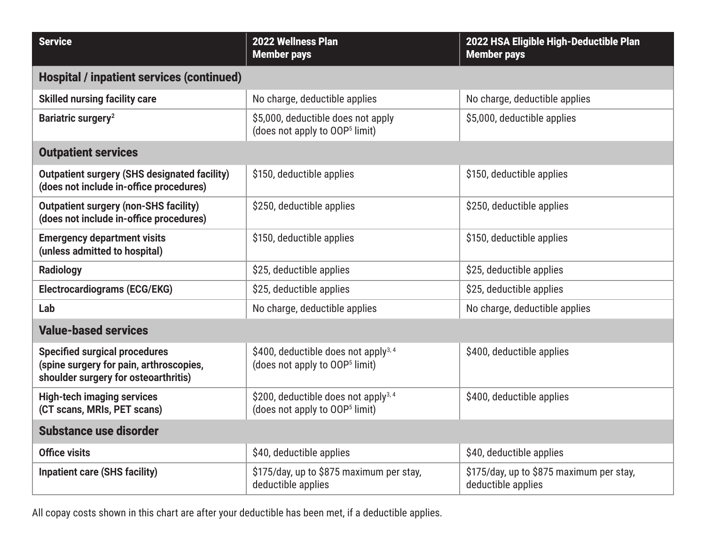| <b>Service</b>                                                                                                          | 2022 Wellness Plan<br><b>Member pays</b>                                                      | 2022 HSA Eligible High-Deductible Plan<br><b>Member pays</b>   |
|-------------------------------------------------------------------------------------------------------------------------|-----------------------------------------------------------------------------------------------|----------------------------------------------------------------|
| <b>Hospital / inpatient services (continued)</b>                                                                        |                                                                                               |                                                                |
| <b>Skilled nursing facility care</b>                                                                                    | No charge, deductible applies                                                                 | No charge, deductible applies                                  |
| Bariatric surgery <sup>2</sup>                                                                                          | \$5,000, deductible does not apply<br>(does not apply to OOP <sup>5</sup> limit)              | \$5,000, deductible applies                                    |
| <b>Outpatient services</b>                                                                                              |                                                                                               |                                                                |
| <b>Outpatient surgery (SHS designated facility)</b><br>(does not include in-office procedures)                          | \$150, deductible applies                                                                     | \$150, deductible applies                                      |
| <b>Outpatient surgery (non-SHS facility)</b><br>(does not include in-office procedures)                                 | \$250, deductible applies                                                                     | \$250, deductible applies                                      |
| <b>Emergency department visits</b><br>(unless admitted to hospital)                                                     | \$150, deductible applies                                                                     | \$150, deductible applies                                      |
| <b>Radiology</b>                                                                                                        | \$25, deductible applies                                                                      | \$25, deductible applies                                       |
| Electrocardiograms (ECG/EKG)                                                                                            | \$25, deductible applies                                                                      | \$25, deductible applies                                       |
| Lab                                                                                                                     | No charge, deductible applies                                                                 | No charge, deductible applies                                  |
| <b>Value-based services</b>                                                                                             |                                                                                               |                                                                |
| <b>Specified surgical procedures</b><br>(spine surgery for pain, arthroscopies,<br>shoulder surgery for osteoarthritis) | \$400, deductible does not apply <sup>3,4</sup><br>(does not apply to OOP <sup>5</sup> limit) | \$400, deductible applies                                      |
| <b>High-tech imaging services</b><br>(CT scans, MRIs, PET scans)                                                        | \$200, deductible does not apply <sup>3,4</sup><br>(does not apply to OOP <sup>5</sup> limit) | \$400, deductible applies                                      |
| Substance use disorder                                                                                                  |                                                                                               |                                                                |
| <b>Office visits</b>                                                                                                    | \$40, deductible applies                                                                      | \$40, deductible applies                                       |
| <b>Inpatient care (SHS facility)</b>                                                                                    | \$175/day, up to \$875 maximum per stay,<br>deductible applies                                | \$175/day, up to \$875 maximum per stay,<br>deductible applies |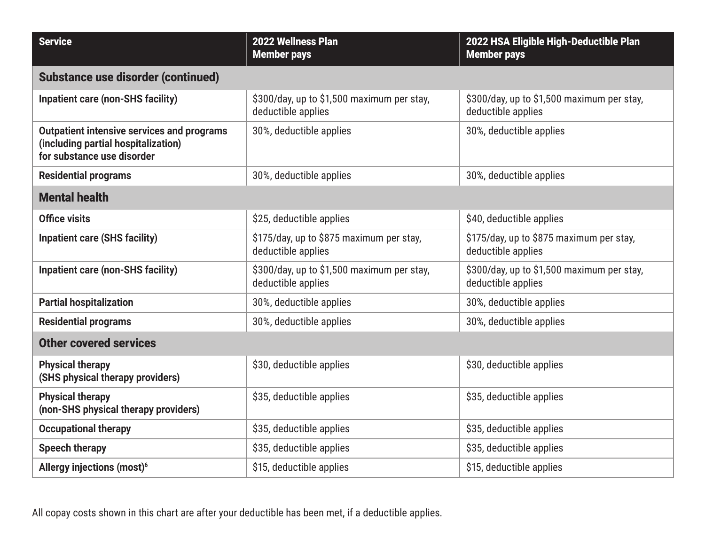| <b>Service</b>                                                                                                         | 2022 Wellness Plan<br><b>Member pays</b>                         | 2022 HSA Eligible High-Deductible Plan<br><b>Member pays</b>     |
|------------------------------------------------------------------------------------------------------------------------|------------------------------------------------------------------|------------------------------------------------------------------|
| <b>Substance use disorder (continued)</b>                                                                              |                                                                  |                                                                  |
| <b>Inpatient care (non-SHS facility)</b>                                                                               | \$300/day, up to \$1,500 maximum per stay,<br>deductible applies | \$300/day, up to \$1,500 maximum per stay,<br>deductible applies |
| <b>Outpatient intensive services and programs</b><br>(including partial hospitalization)<br>for substance use disorder | 30%, deductible applies                                          | 30%, deductible applies                                          |
| <b>Residential programs</b>                                                                                            | 30%, deductible applies                                          | 30%, deductible applies                                          |
| <b>Mental health</b>                                                                                                   |                                                                  |                                                                  |
| <b>Office visits</b>                                                                                                   | \$25, deductible applies                                         | \$40, deductible applies                                         |
| <b>Inpatient care (SHS facility)</b>                                                                                   | \$175/day, up to \$875 maximum per stay,<br>deductible applies   | \$175/day, up to \$875 maximum per stay,<br>deductible applies   |
| <b>Inpatient care (non-SHS facility)</b>                                                                               | \$300/day, up to \$1,500 maximum per stay,<br>deductible applies | \$300/day, up to \$1,500 maximum per stay,<br>deductible applies |
| <b>Partial hospitalization</b>                                                                                         | 30%, deductible applies                                          | 30%, deductible applies                                          |
| <b>Residential programs</b>                                                                                            | 30%, deductible applies                                          | 30%, deductible applies                                          |
| <b>Other covered services</b>                                                                                          |                                                                  |                                                                  |
| <b>Physical therapy</b><br>(SHS physical therapy providers)                                                            | \$30, deductible applies                                         | \$30, deductible applies                                         |
| <b>Physical therapy</b><br>(non-SHS physical therapy providers)                                                        | \$35, deductible applies                                         | \$35, deductible applies                                         |
| <b>Occupational therapy</b>                                                                                            | \$35, deductible applies                                         | \$35, deductible applies                                         |
| <b>Speech therapy</b>                                                                                                  | \$35, deductible applies                                         | \$35, deductible applies                                         |
| Allergy injections (most) <sup>6</sup>                                                                                 | \$15, deductible applies                                         | \$15, deductible applies                                         |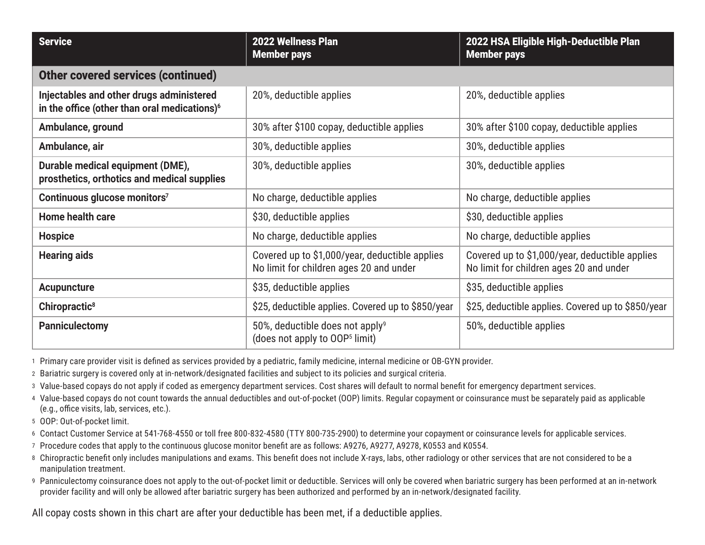| <b>Service</b>                                                                                       | <b>2022 Wellness Plan</b><br><b>Member pays</b>                                           | 2022 HSA Eligible High-Deductible Plan<br><b>Member pays</b>                              |
|------------------------------------------------------------------------------------------------------|-------------------------------------------------------------------------------------------|-------------------------------------------------------------------------------------------|
| <b>Other covered services (continued)</b>                                                            |                                                                                           |                                                                                           |
| Injectables and other drugs administered<br>in the office (other than oral medications) <sup>6</sup> | 20%, deductible applies                                                                   | 20%, deductible applies                                                                   |
| Ambulance, ground                                                                                    | 30% after \$100 copay, deductible applies                                                 | 30% after \$100 copay, deductible applies                                                 |
| Ambulance, air                                                                                       | 30%, deductible applies                                                                   | 30%, deductible applies                                                                   |
| Durable medical equipment (DME),<br>prosthetics, orthotics and medical supplies                      | 30%, deductible applies                                                                   | 30%, deductible applies                                                                   |
| Continuous glucose monitors <sup>7</sup>                                                             | No charge, deductible applies                                                             | No charge, deductible applies                                                             |
| Home health care                                                                                     | \$30, deductible applies                                                                  | \$30, deductible applies                                                                  |
| <b>Hospice</b>                                                                                       | No charge, deductible applies                                                             | No charge, deductible applies                                                             |
| <b>Hearing aids</b>                                                                                  | Covered up to \$1,000/year, deductible applies<br>No limit for children ages 20 and under | Covered up to \$1,000/year, deductible applies<br>No limit for children ages 20 and under |
| <b>Acupuncture</b>                                                                                   | \$35, deductible applies                                                                  | \$35, deductible applies                                                                  |
| Chiropractic <sup>8</sup>                                                                            | \$25, deductible applies. Covered up to \$850/year                                        | \$25, deductible applies. Covered up to \$850/year                                        |
| <b>Panniculectomy</b>                                                                                | 50%, deductible does not apply <sup>9</sup><br>(does not apply to OOP <sup>5</sup> limit) | 50%, deductible applies                                                                   |

<sup>1</sup> Primary care provider visit is defined as services provided by a pediatric, family medicine, internal medicine or OB-GYN provider.

<sup>2</sup> Bariatric surgery is covered only at in-network/designated facilities and subject to its policies and surgical criteria.

<sup>3</sup> Value-based copays do not apply if coded as emergency department services. Cost shares will default to normal benefit for emergency department services.

<sup>4</sup> Value-based copays do not count towards the annual deductibles and out-of-pocket (OOP) limits. Regular copayment or coinsurance must be separately paid as applicable (e.g., office visits, lab, services, etc.).

<sup>5</sup> OOP: Out-of-pocket limit.

<sup>6</sup> Contact Customer Service at 541-768-4550 or toll free 800-832-4580 (TTY 800-735-2900) to determine your copayment or coinsurance levels for applicable services.

<sup>7</sup> Procedure codes that apply to the continuous glucose monitor benefit are as follows: A9276, A9277, A9278, K0553 and K0554.

- 8 Chiropractic benefit only includes manipulations and exams. This benefit does not include X-rays, labs, other radiology or other services that are not considered to be a manipulation treatment.
- 9 Panniculectomy coinsurance does not apply to the out-of-pocket limit or deductible. Services will only be covered when bariatric surgery has been performed at an in-network provider facility and will only be allowed after bariatric surgery has been authorized and performed by an in-network/designated facility.